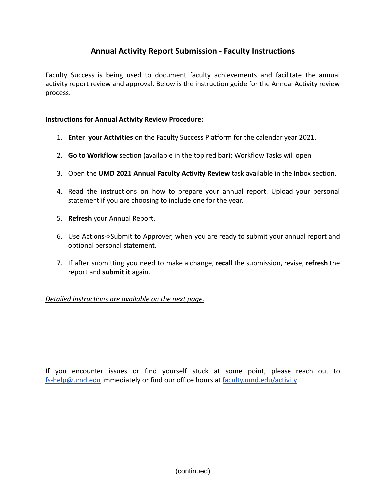# **Annual Activity Report Submission - Faculty Instructions**

Faculty Success is being used to document faculty achievements and facilitate the annual activity report review and approval. Below is the instruction guide for the Annual Activity review process.

## **Instructions for Annual Activity Review Procedure:**

- 1. **Enter your Activities** on the Faculty Success Platform for the calendar year 2021.
- 2. **Go to Workflow** section (available in the top red bar); Workflow Tasks will open
- 3. Open the **UMD 2021 Annual Faculty Activity Review** task available in the Inbox section.
- 4. Read the instructions on how to prepare your annual report. Upload your personal statement if you are choosing to include one for the year.
- 5. **Refresh** your Annual Report.
- 6. Use Actions->Submit to Approver, when you are ready to submit your annual report and optional personal statement.
- 7. If after submitting you need to make a change, **recall** the submission, revise, **refresh** the report and **submit it** again.

### *Detailed instructions are available on the next page.*

If you encounter issues or find yourself stuck at some point, please reach out to [fs-help@umd.edu](mailto:fs-help@umd.edu) immediately or find our office hours at [faculty.umd.edu/activity](https://faculty.umd.edu/activity)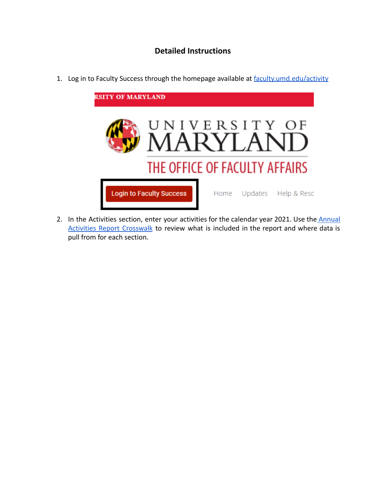# **Detailed Instructions**

1. Log in to Faculty Success through the homepage available at [faculty.umd.edu/activity](https://faculty.umd.edu/activity)



2. In the Activities section, enter your activities for the calendar year 2021. Use the [Annual](https://faculty.umd.edu/media/144/view) Activities Report [Crosswalk](https://faculty.umd.edu/media/144/view) to review what is included in the report and where data is pull from for each section.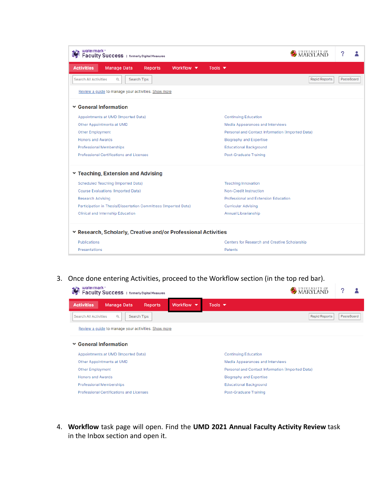| watermark <sup>*</sup><br>Faculty Success   formerly Digital Measures |                                                                 |                |                               |                            | ?                                                |                      |                   |  |  |
|-----------------------------------------------------------------------|-----------------------------------------------------------------|----------------|-------------------------------|----------------------------|--------------------------------------------------|----------------------|-------------------|--|--|
| <b>Activities</b>                                                     | <b>Manage Data</b>                                              | <b>Reports</b> | Workflow $\blacktriangledown$ | Tools $\blacktriangledown$ |                                                  |                      |                   |  |  |
| <b>Search All Activities</b>                                          | Q                                                               | Search Tips    |                               |                            |                                                  | <b>Rapid Reports</b> | <b>PasteBoard</b> |  |  |
|                                                                       | Review a guide to manage your activities. Show more             |                |                               |                            |                                                  |                      |                   |  |  |
|                                                                       | <b>▼ General Information</b>                                    |                |                               |                            |                                                  |                      |                   |  |  |
|                                                                       | Appointments at UMD (Imported Data)                             |                |                               |                            | <b>Continuing Education</b>                      |                      |                   |  |  |
|                                                                       | Other Appointments at UMD                                       |                |                               |                            | Media Appearances and Interviews                 |                      |                   |  |  |
| <b>Other Employment</b>                                               |                                                                 |                |                               |                            | Personal and Contact Information (Imported Data) |                      |                   |  |  |
|                                                                       | <b>Honors and Awards</b>                                        |                |                               |                            | <b>Biography and Expertise</b>                   |                      |                   |  |  |
|                                                                       | <b>Professional Memberships</b>                                 |                |                               |                            | <b>Educational Background</b>                    |                      |                   |  |  |
|                                                                       | Professional Certifications and Licenses                        |                |                               |                            | Post-Graduate Training                           |                      |                   |  |  |
|                                                                       | Y Teaching, Extension and Advising                              |                |                               |                            |                                                  |                      |                   |  |  |
|                                                                       | Scheduled Teaching (Imported Data)                              |                |                               |                            | <b>Teaching Innovation</b>                       |                      |                   |  |  |
|                                                                       | <b>Course Evaluations (Imported Data)</b>                       |                |                               |                            | Non-Credit Instruction                           |                      |                   |  |  |
| <b>Research Advising</b>                                              |                                                                 |                |                               |                            | Professional and Extension Education             |                      |                   |  |  |
|                                                                       | Participation in Thesis/Dissertation Committees (Imported Data) |                |                               |                            | <b>Curricular Advising</b>                       |                      |                   |  |  |
|                                                                       | Clinical and Internship Education                               |                |                               |                            | Annual Librarianship                             |                      |                   |  |  |
|                                                                       | * Research, Scholarly, Creative and/or Professional Activities  |                |                               |                            |                                                  |                      |                   |  |  |
| Publications                                                          |                                                                 |                |                               |                            | Centers for Research and Creative Scholarship    |                      |                   |  |  |
| Presentations                                                         |                                                                 |                |                               |                            | Patents                                          |                      |                   |  |  |

3. Once done entering Activities, proceed to the Workflow section (in the top red bar).

| watermark <sup>*</sup><br>Faculty Success   formerly Digital Measures |                                                     |                |                               | MARYLAND                                         |  |            |  |  |
|-----------------------------------------------------------------------|-----------------------------------------------------|----------------|-------------------------------|--------------------------------------------------|--|------------|--|--|
| <b>Activities</b>                                                     | <b>Manage Data</b>                                  | <b>Reports</b> | Workflow $\blacktriangledown$ | Tools $\blacktriangledown$                       |  |            |  |  |
| <b>Search All Activities</b>                                          | $\alpha$                                            | Search Tips    |                               | <b>Rapid Reports</b>                             |  | PasteBoard |  |  |
|                                                                       | Review a guide to manage your activities. Show more |                |                               |                                                  |  |            |  |  |
|                                                                       | <b>▼ General Information</b>                        |                |                               |                                                  |  |            |  |  |
|                                                                       | Appointments at UMD (Imported Data)                 |                |                               | <b>Continuing Education</b>                      |  |            |  |  |
|                                                                       | Other Appointments at UMD                           |                |                               | Media Appearances and Interviews                 |  |            |  |  |
|                                                                       | <b>Other Employment</b>                             |                |                               | Personal and Contact Information (Imported Data) |  |            |  |  |
| <b>Honors and Awards</b>                                              |                                                     |                |                               | <b>Biography and Expertise</b>                   |  |            |  |  |
| Professional Memberships                                              |                                                     |                |                               | <b>Educational Background</b>                    |  |            |  |  |
| <b>Professional Certifications and Licenses</b>                       |                                                     |                |                               | Post-Graduate Training                           |  |            |  |  |

4. **Workflow** task page will open. Find the **UMD 2021 Annual Faculty Activity Review** task in the Inbox section and open it.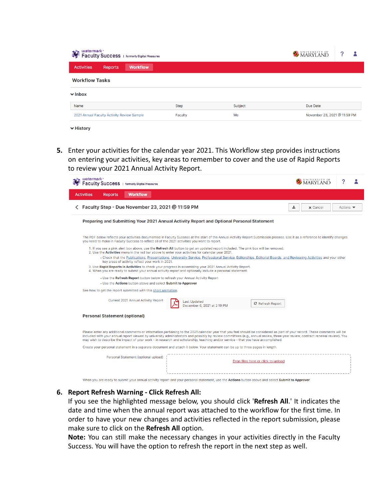| watermark™<br>23<br>Faculty Success   formerly Digital Measures |         |         | MARYLAND                     |  |
|-----------------------------------------------------------------|---------|---------|------------------------------|--|
| <b>Workflow</b><br><b>Activities</b><br>Reports                 |         |         |                              |  |
| <b>Workflow Tasks</b>                                           |         |         |                              |  |
| $\vee$ Inbox                                                    |         |         |                              |  |
| Name                                                            | Step    | Subject | Due Date                     |  |
| 2021 Annual Faculty Activity Review Sample                      | Faculty | Me      | November 23, 2021 @ 11:59 PM |  |
|                                                                 |         |         |                              |  |

- $ightharpoonup$  History
- **5.** Enter your activities for the calendar year 2021. This Workflow step provides instructions on entering your activities, key areas to remember to cover and the use of Rapid Reports to review your 2021 Annual Activity Report.

| watermark <sup>*</sup><br>Faculty Success   formerly Digital Measures                                                                                                                                                                                                                                                                                                                                                                                                                            |                      |                              |
|--------------------------------------------------------------------------------------------------------------------------------------------------------------------------------------------------------------------------------------------------------------------------------------------------------------------------------------------------------------------------------------------------------------------------------------------------------------------------------------------------|----------------------|------------------------------|
| <b>Activities</b><br><b>Workflow</b><br><b>Reports</b>                                                                                                                                                                                                                                                                                                                                                                                                                                           |                      |                              |
| ← Faculty Step - Due November 23, 2021 @ 11:59 PM                                                                                                                                                                                                                                                                                                                                                                                                                                                | ≛<br>$\times$ Cancel | Actions $\blacktriangledown$ |
| Preparing and Submitting Your 2021 Annual Activity Report and Optional Personal Statement                                                                                                                                                                                                                                                                                                                                                                                                        |                      |                              |
| The PDF below reflects your activities documented in Faculty Success at the start of the Annual Activity Report Submission process. Use it as a reference to identify changes<br>you need to make in Faculty Success to reflect all of the 2021 activities you want to report.                                                                                                                                                                                                                   |                      |                              |
| 1. If you see a pink alert box above, use the Refresh All button to get an updated report included. The pink box will be removed.<br>2. Use the Activities menu in the red bar above to enter your activities for calendar year 2021.<br>• Check that the Publications, Presentations, University Service, Professional Service, Editorships, Editorial Boards, and Reviewing Activities and your other<br>key areas of activity reflect your work in 2021.                                      |                      |                              |
| 3. Use Rapid Reports in Activities to check your progress in assembling your 2021 Annual Activity Report.<br>4. When you are ready to submit your annual activity report and optionally include a personal statement:                                                                                                                                                                                                                                                                            |                      |                              |
| • Use the Refresh Report button below to refresh your Annual Activity Report<br>• Use the Actions button above and select Submit to Approver                                                                                                                                                                                                                                                                                                                                                     |                      |                              |
| See how to get the report submitted with this short animation.                                                                                                                                                                                                                                                                                                                                                                                                                                   |                      |                              |
| Current 2021 Annual Activity Report<br><b>Last Updated</b><br>C Refresh Report<br>December 6, 2021 at 2:19 PM                                                                                                                                                                                                                                                                                                                                                                                    |                      |                              |
| <b>Personal Statement (optional)</b>                                                                                                                                                                                                                                                                                                                                                                                                                                                             |                      |                              |
| Please enter any additional comments or information pertaining to the 2021 calendar year that you feel should be considered as part of your record. These comments will be<br>included with your annual report viewed by university administrators and possibly by review committees (e.g., annual review, three year review, contract renewal review). You<br>may wish to describe the impact of your work - in research and scholarship, teaching and/or service - that you have accomplished. |                      |                              |
| Create your personal statement in a separate document and attach it below. Your statement can be up to three pages in length.                                                                                                                                                                                                                                                                                                                                                                    |                      |                              |
| Personal Statement (optional upload)<br>Drop files here or click to upload                                                                                                                                                                                                                                                                                                                                                                                                                       |                      |                              |
|                                                                                                                                                                                                                                                                                                                                                                                                                                                                                                  |                      |                              |

#### When you are ready to submit your annual activity report and your personal statement, use the Actions button above and select Submit to Approver.

#### **6. Report Refresh Warning - Click Refresh All:**

If you see the highlighted message below, you should click '**Refresh All**.' It indicates the date and time when the annual report was attached to the workflow for the first time. In order to have your new changes and activities reflected in the report submission, please make sure to click on the **Refresh All** option.

**Note:** You can still make the necessary changes in your activities directly in the Faculty Success. You will have the option to refresh the report in the next step as well.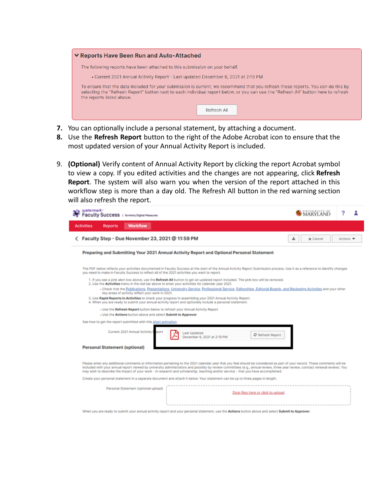

- **7.** You can optionally include a personal statement, by attaching a document.
- **8.** Use the **Refresh Report** button to the right of the Adobe Acrobat icon to ensure that the most updated version of your Annual Activity Report is included.
- 9. **(Optional)** Verify content of Annual Activity Report by clicking the report Acrobat symbol to view a copy. If you edited activities and the changes are not appearing, click **Refresh Report**. The system will also warn you when the version of the report attached in this workflow step is more than a day old. The Refresh All button in the red warning section will also refresh the report.

| watermark-<br>Faculty Success   formerly Digital Measures                                                                                                                                                                                                                                                                                                                                                                                                                                                                                                                                                                                                                                                                                                                                                                                                                                                                                                                                                                                                                                                                                                                                | <b>MARYLAND</b> |                  |
|------------------------------------------------------------------------------------------------------------------------------------------------------------------------------------------------------------------------------------------------------------------------------------------------------------------------------------------------------------------------------------------------------------------------------------------------------------------------------------------------------------------------------------------------------------------------------------------------------------------------------------------------------------------------------------------------------------------------------------------------------------------------------------------------------------------------------------------------------------------------------------------------------------------------------------------------------------------------------------------------------------------------------------------------------------------------------------------------------------------------------------------------------------------------------------------|-----------------|------------------|
| <b>Workflow</b><br><b>Activities</b><br><b>Reports</b>                                                                                                                                                                                                                                                                                                                                                                                                                                                                                                                                                                                                                                                                                                                                                                                                                                                                                                                                                                                                                                                                                                                                   |                 |                  |
| Faculty Step - Due November 23, 2021 @ 11:59 PM                                                                                                                                                                                                                                                                                                                                                                                                                                                                                                                                                                                                                                                                                                                                                                                                                                                                                                                                                                                                                                                                                                                                          | x Cancel<br>土   | Actions <b>v</b> |
| Preparing and Submitting Your 2021 Annual Activity Report and Optional Personal Statement                                                                                                                                                                                                                                                                                                                                                                                                                                                                                                                                                                                                                                                                                                                                                                                                                                                                                                                                                                                                                                                                                                |                 |                  |
| The PDF below reflects your activities documented in Faculty Success at the start of the Annual Activity Report Submission process. Use it as a reference to identify changes<br>you need to make in Faculty Success to reflect all of the 2021 activities you want to report.<br>1. If you see a pink alert box above, use the Refresh All button to get an updated report included. The pink box will be removed.<br>2. Use the Activities menu in the red bar above to enter your activities for calendar year 2021.<br>- Check that the Publications, Presentations, University Service, Professional Service, Editorships, Editorial Boards, and Reviewing Activities and your other<br>key areas of activity reflect your work in 2021.<br>3. Use Rapid Reports in Activities to check your progress in assembling your 2021 Annual Activity Report.<br>4. When you are ready to submit your annual activity report and optionally include a personal statement:<br>- Use the Refresh Report button below to refresh your Annual Activity Report<br>- Use the Actions button above and select Submit to Approver<br>See how to get the report submitted with this short animation. |                 |                  |
| Current 2021 Annual Activity I sport<br><b>Last Updated</b><br>C Refresh Report<br>December 6, 2021 at 2:19 PM<br><b>Personal Statement (optional)</b>                                                                                                                                                                                                                                                                                                                                                                                                                                                                                                                                                                                                                                                                                                                                                                                                                                                                                                                                                                                                                                   |                 |                  |
| Please enter any additional comments or information pertaining to the 2021 calendar year that you feel should be considered as part of your record. These comments will be<br>included with your annual report viewed by university administrators and possibly by review committees (e.g., annual review, three year review, contract renewal review). You<br>may wish to describe the impact of your work - in research and scholarship, teaching and/or service - that you have accomplished.                                                                                                                                                                                                                                                                                                                                                                                                                                                                                                                                                                                                                                                                                         |                 |                  |
| Create your personal statement in a separate document and attach it below. Your statement can be up to three pages in length.                                                                                                                                                                                                                                                                                                                                                                                                                                                                                                                                                                                                                                                                                                                                                                                                                                                                                                                                                                                                                                                            |                 |                  |
| Personal Statement (optional upload)<br>Drop files here or click to upload                                                                                                                                                                                                                                                                                                                                                                                                                                                                                                                                                                                                                                                                                                                                                                                                                                                                                                                                                                                                                                                                                                               |                 |                  |
| When you are ready to submit your annual activity report and your personal statement, use the Actions button above and select Submit to Approver.                                                                                                                                                                                                                                                                                                                                                                                                                                                                                                                                                                                                                                                                                                                                                                                                                                                                                                                                                                                                                                        |                 |                  |